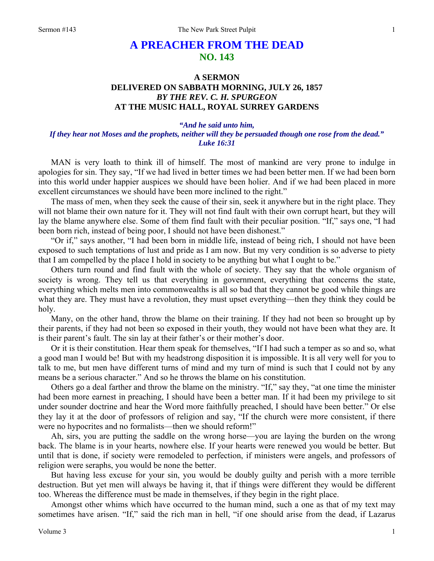## **A PREACHER FROM THE DEAD NO. 143**

## **A SERMON DELIVERED ON SABBATH MORNING, JULY 26, 1857**  *BY THE REV. C. H. SPURGEON*  **AT THE MUSIC HALL, ROYAL SURREY GARDENS**

## *"And he said unto him,*

## *If they hear not Moses and the prophets, neither will they be persuaded though one rose from the dead." Luke 16:31*

MAN is very loath to think ill of himself. The most of mankind are very prone to indulge in apologies for sin. They say, "If we had lived in better times we had been better men. If we had been born into this world under happier auspices we should have been holier. And if we had been placed in more excellent circumstances we should have been more inclined to the right."

The mass of men, when they seek the cause of their sin, seek it anywhere but in the right place. They will not blame their own nature for it. They will not find fault with their own corrupt heart, but they will lay the blame anywhere else. Some of them find fault with their peculiar position. "If," says one, "I had been born rich, instead of being poor, I should not have been dishonest."

"Or if," says another, "I had been born in middle life, instead of being rich, I should not have been exposed to such temptations of lust and pride as I am now. But my very condition is so adverse to piety that I am compelled by the place I hold in society to be anything but what I ought to be."

Others turn round and find fault with the whole of society. They say that the whole organism of society is wrong. They tell us that everything in government, everything that concerns the state, everything which melts men into commonwealths is all so bad that they cannot be good while things are what they are. They must have a revolution, they must upset everything—then they think they could be holy.

Many, on the other hand, throw the blame on their training. If they had not been so brought up by their parents, if they had not been so exposed in their youth, they would not have been what they are. It is their parent's fault. The sin lay at their father's or their mother's door.

Or it is their constitution. Hear them speak for themselves, "If I had such a temper as so and so, what a good man I would be! But with my headstrong disposition it is impossible. It is all very well for you to talk to me, but men have different turns of mind and my turn of mind is such that I could not by any means be a serious character." And so he throws the blame on his constitution.

Others go a deal farther and throw the blame on the ministry. "If," say they, "at one time the minister had been more earnest in preaching, I should have been a better man. If it had been my privilege to sit under sounder doctrine and hear the Word more faithfully preached, I should have been better." Or else they lay it at the door of professors of religion and say, "If the church were more consistent, if there were no hypocrites and no formalists—then we should reform!"

Ah, sirs, you are putting the saddle on the wrong horse—you are laying the burden on the wrong back. The blame is in your hearts, nowhere else. If your hearts were renewed you would be better. But until that is done, if society were remodeled to perfection, if ministers were angels, and professors of religion were seraphs, you would be none the better.

But having less excuse for your sin, you would be doubly guilty and perish with a more terrible destruction. But yet men will always be having it, that if things were different they would be different too. Whereas the difference must be made in themselves, if they begin in the right place.

Amongst other whims which have occurred to the human mind, such a one as that of my text may sometimes have arisen. "If," said the rich man in hell, "if one should arise from the dead, if Lazarus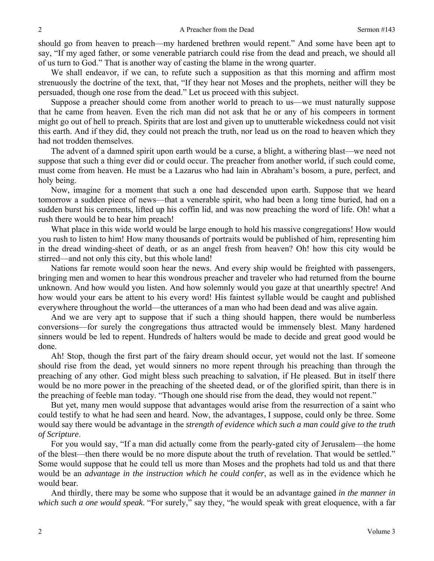should go from heaven to preach—my hardened brethren would repent." And some have been apt to say, "If my aged father, or some venerable patriarch could rise from the dead and preach, we should all of us turn to God." That is another way of casting the blame in the wrong quarter.

We shall endeavor, if we can, to refute such a supposition as that this morning and affirm most strenuously the doctrine of the text, that, "If they hear not Moses and the prophets, neither will they be persuaded, though one rose from the dead." Let us proceed with this subject.

Suppose a preacher should come from another world to preach to us—we must naturally suppose that he came from heaven. Even the rich man did not ask that he or any of his compeers in torment might go out of hell to preach. Spirits that are lost and given up to unutterable wickedness could not visit this earth. And if they did, they could not preach the truth, nor lead us on the road to heaven which they had not trodden themselves.

The advent of a damned spirit upon earth would be a curse, a blight, a withering blast—we need not suppose that such a thing ever did or could occur. The preacher from another world, if such could come, must come from heaven. He must be a Lazarus who had lain in Abraham's bosom, a pure, perfect, and holy being.

Now, imagine for a moment that such a one had descended upon earth. Suppose that we heard tomorrow a sudden piece of news—that a venerable spirit, who had been a long time buried, had on a sudden burst his cerements, lifted up his coffin lid, and was now preaching the word of life. Oh! what a rush there would be to hear him preach!

What place in this wide world would be large enough to hold his massive congregations! How would you rush to listen to him! How many thousands of portraits would be published of him, representing him in the dread winding-sheet of death, or as an angel fresh from heaven? Oh! how this city would be stirred—and not only this city, but this whole land!

Nations far remote would soon hear the news. And every ship would be freighted with passengers, bringing men and women to hear this wondrous preacher and traveler who had returned from the bourne unknown. And how would you listen. And how solemnly would you gaze at that unearthly spectre! And how would your ears be attent to his every word! His faintest syllable would be caught and published everywhere throughout the world—the utterances of a man who had been dead and was alive again.

And we are very apt to suppose that if such a thing should happen, there would be numberless conversions—for surely the congregations thus attracted would be immensely blest. Many hardened sinners would be led to repent. Hundreds of halters would be made to decide and great good would be done.

Ah! Stop, though the first part of the fairy dream should occur, yet would not the last. If someone should rise from the dead, yet would sinners no more repent through his preaching than through the preaching of any other. God might bless such preaching to salvation, if He pleased. But in itself there would be no more power in the preaching of the sheeted dead, or of the glorified spirit, than there is in the preaching of feeble man today. "Though one should rise from the dead, they would not repent."

But yet, many men would suppose that advantages would arise from the resurrection of a saint who could testify to what he had seen and heard. Now, the advantages, I suppose, could only be three. Some would say there would be advantage in the *strength of evidence which such a man could give to the truth of Scripture*.

For you would say, "If a man did actually come from the pearly-gated city of Jerusalem—the home of the blest—then there would be no more dispute about the truth of revelation. That would be settled." Some would suppose that he could tell us more than Moses and the prophets had told us and that there would be an *advantage in the instruction which he could confer*, as well as in the evidence which he would bear.

And thirdly, there may be some who suppose that it would be an advantage gained *in the manner in which such a one would speak*. "For surely," say they, "he would speak with great eloquence, with a far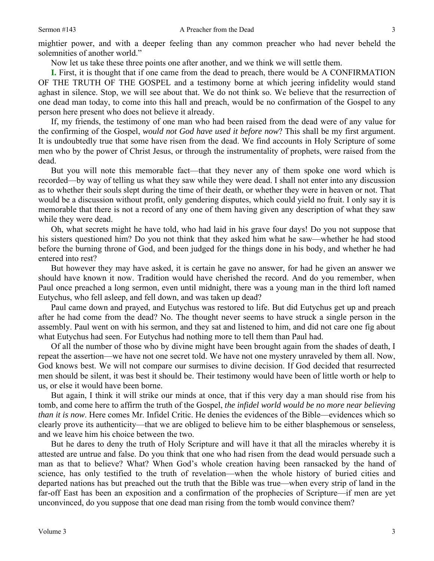mightier power, and with a deeper feeling than any common preacher who had never beheld the solemnities of another world."

Now let us take these three points one after another, and we think we will settle them.

**I.** First, it is thought that if one came from the dead to preach, there would be A CONFIRMATION OF THE TRUTH OF THE GOSPEL and a testimony borne at which jeering infidelity would stand aghast in silence. Stop, we will see about that. We do not think so. We believe that the resurrection of one dead man today, to come into this hall and preach, would be no confirmation of the Gospel to any person here present who does not believe it already.

If, my friends, the testimony of one man who had been raised from the dead were of any value for the confirming of the Gospel, *would not God have used it before now*? This shall be my first argument. It is undoubtedly true that some have risen from the dead. We find accounts in Holy Scripture of some men who by the power of Christ Jesus, or through the instrumentality of prophets, were raised from the dead.

But you will note this memorable fact—that they never any of them spoke one word which is recorded—by way of telling us what they saw while they were dead. I shall not enter into any discussion as to whether their souls slept during the time of their death, or whether they were in heaven or not. That would be a discussion without profit, only gendering disputes, which could yield no fruit. I only say it is memorable that there is not a record of any one of them having given any description of what they saw while they were dead.

Oh, what secrets might he have told, who had laid in his grave four days! Do you not suppose that his sisters questioned him? Do you not think that they asked him what he saw—whether he had stood before the burning throne of God, and been judged for the things done in his body, and whether he had entered into rest?

But however they may have asked, it is certain he gave no answer, for had he given an answer we should have known it now. Tradition would have cherished the record. And do you remember, when Paul once preached a long sermon, even until midnight, there was a young man in the third loft named Eutychus, who fell asleep, and fell down, and was taken up dead?

Paul came down and prayed, and Eutychus was restored to life. But did Eutychus get up and preach after he had come from the dead? No. The thought never seems to have struck a single person in the assembly. Paul went on with his sermon, and they sat and listened to him, and did not care one fig about what Eutychus had seen. For Eutychus had nothing more to tell them than Paul had.

Of all the number of those who by divine might have been brought again from the shades of death, I repeat the assertion—we have not one secret told. We have not one mystery unraveled by them all. Now, God knows best. We will not compare our surmises to divine decision. If God decided that resurrected men should be silent, it was best it should be. Their testimony would have been of little worth or help to us, or else it would have been borne.

But again, I think it will strike our minds at once, that if this very day a man should rise from his tomb, and come here to affirm the truth of the Gospel, *the infidel world would be no more near believing than it is now.* Here comes Mr. Infidel Critic. He denies the evidences of the Bible—evidences which so clearly prove its authenticity—that we are obliged to believe him to be either blasphemous or senseless, and we leave him his choice between the two.

But he dares to deny the truth of Holy Scripture and will have it that all the miracles whereby it is attested are untrue and false. Do you think that one who had risen from the dead would persuade such a man as that to believe? What? When God's whole creation having been ransacked by the hand of science, has only testified to the truth of revelation—when the whole history of buried cities and departed nations has but preached out the truth that the Bible was true—when every strip of land in the far-off East has been an exposition and a confirmation of the prophecies of Scripture—if men are yet unconvinced, do you suppose that one dead man rising from the tomb would convince them?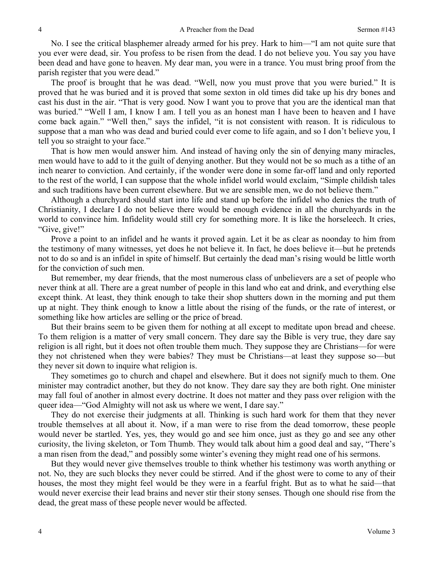No. I see the critical blasphemer already armed for his prey. Hark to him—"I am not quite sure that you ever were dead, sir. You profess to be risen from the dead. I do not believe you. You say you have been dead and have gone to heaven. My dear man, you were in a trance. You must bring proof from the parish register that you were dead."

The proof is brought that he was dead. "Well, now you must prove that you were buried." It is proved that he was buried and it is proved that some sexton in old times did take up his dry bones and cast his dust in the air. "That is very good. Now I want you to prove that you are the identical man that was buried." "Well I am, I know I am. I tell you as an honest man I have been to heaven and I have come back again." "Well then," says the infidel, "it is not consistent with reason. It is ridiculous to suppose that a man who was dead and buried could ever come to life again, and so I don't believe you, I tell you so straight to your face."

That is how men would answer him. And instead of having only the sin of denying many miracles, men would have to add to it the guilt of denying another. But they would not be so much as a tithe of an inch nearer to conviction. And certainly, if the wonder were done in some far-off land and only reported to the rest of the world, I can suppose that the whole infidel world would exclaim, "Simple childish tales and such traditions have been current elsewhere. But we are sensible men, we do not believe them."

Although a churchyard should start into life and stand up before the infidel who denies the truth of Christianity, I declare I do not believe there would be enough evidence in all the churchyards in the world to convince him. Infidelity would still cry for something more. It is like the horseleech. It cries, "Give, give!"

Prove a point to an infidel and he wants it proved again. Let it be as clear as noonday to him from the testimony of many witnesses, yet does he not believe it. In fact, he does believe it—but he pretends not to do so and is an infidel in spite of himself. But certainly the dead man's rising would be little worth for the conviction of such men.

But remember, my dear friends, that the most numerous class of unbelievers are a set of people who never think at all. There are a great number of people in this land who eat and drink, and everything else except think. At least, they think enough to take their shop shutters down in the morning and put them up at night. They think enough to know a little about the rising of the funds, or the rate of interest, or something like how articles are selling or the price of bread.

But their brains seem to be given them for nothing at all except to meditate upon bread and cheese. To them religion is a matter of very small concern. They dare say the Bible is very true, they dare say religion is all right, but it does not often trouble them much. They suppose they are Christians—for were they not christened when they were babies? They must be Christians—at least they suppose so—but they never sit down to inquire what religion is.

They sometimes go to church and chapel and elsewhere. But it does not signify much to them. One minister may contradict another, but they do not know. They dare say they are both right. One minister may fall foul of another in almost every doctrine. It does not matter and they pass over religion with the queer idea—"God Almighty will not ask us where we went, I dare say."

They do not exercise their judgments at all. Thinking is such hard work for them that they never trouble themselves at all about it. Now, if a man were to rise from the dead tomorrow, these people would never be startled. Yes, yes, they would go and see him once, just as they go and see any other curiosity, the living skeleton, or Tom Thumb. They would talk about him a good deal and say, "There's a man risen from the dead," and possibly some winter's evening they might read one of his sermons.

But they would never give themselves trouble to think whether his testimony was worth anything or not. No, they are such blocks they never could be stirred. And if the ghost were to come to any of their houses, the most they might feel would be they were in a fearful fright. But as to what he said—that would never exercise their lead brains and never stir their stony senses. Though one should rise from the dead, the great mass of these people never would be affected.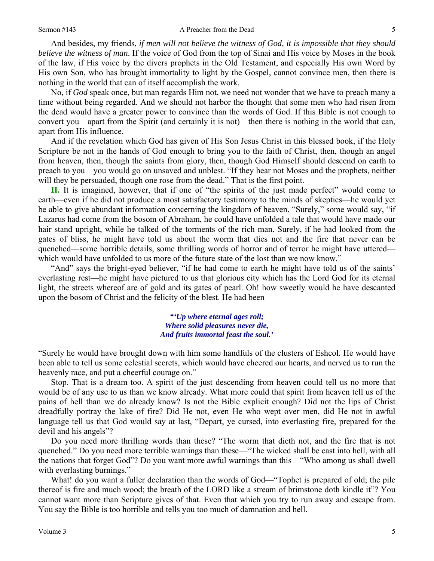And besides, my friends, *if men will not believe the witness of God, it is impossible that they should believe the witness of man*. If the voice of God from the top of Sinai and His voice by Moses in the book of the law, if His voice by the divers prophets in the Old Testament, and especially His own Word by His own Son, who has brought immortality to light by the Gospel, cannot convince men, then there is nothing in the world that can of itself accomplish the work.

No, if *God* speak once, but man regards Him not, we need not wonder that we have to preach many a time without being regarded. And we should not harbor the thought that some men who had risen from the dead would have a greater power to convince than the words of God. If this Bible is not enough to convert you—apart from the Spirit (and certainly it is not)—then there is nothing in the world that can, apart from His influence.

And if the revelation which God has given of His Son Jesus Christ in this blessed book, if the Holy Scripture be not in the hands of God enough to bring you to the faith of Christ, then, though an angel from heaven, then, though the saints from glory, then, though God Himself should descend on earth to preach to you—you would go on unsaved and unblest. "If they hear not Moses and the prophets, neither will they be persuaded, though one rose from the dead." That is the first point.

**II.** It is imagined, however, that if one of "the spirits of the just made perfect" would come to earth—even if he did not produce a most satisfactory testimony to the minds of skeptics—he would yet be able to give abundant information concerning the kingdom of heaven. "Surely," some would say, "if Lazarus had come from the bosom of Abraham, he could have unfolded a tale that would have made our hair stand upright, while he talked of the torments of the rich man. Surely, if he had looked from the gates of bliss, he might have told us about the worm that dies not and the fire that never can be quenched—some horrible details, some thrilling words of horror and of terror he might have uttered which would have unfolded to us more of the future state of the lost than we now know."

"And" says the bright-eyed believer, "if he had come to earth he might have told us of the saints' everlasting rest—he might have pictured to us that glorious city which has the Lord God for its eternal light, the streets whereof are of gold and its gates of pearl. Oh! how sweetly would he have descanted upon the bosom of Christ and the felicity of the blest. He had been—

> *"'Up where eternal ages roll; Where solid pleasures never die, And fruits immortal feast the soul.'*

"Surely he would have brought down with him some handfuls of the clusters of Eshcol. He would have been able to tell us some celestial secrets, which would have cheered our hearts, and nerved us to run the heavenly race, and put a cheerful courage on."

Stop. That is a dream too. A spirit of the just descending from heaven could tell us no more that would be of any use to us than we know already. What more could that spirit from heaven tell us of the pains of hell than we do already know? Is not the Bible explicit enough? Did not the lips of Christ dreadfully portray the lake of fire? Did He not, even He who wept over men, did He not in awful language tell us that God would say at last, "Depart, ye cursed, into everlasting fire, prepared for the devil and his angels"?

Do you need more thrilling words than these? "The worm that dieth not, and the fire that is not quenched." Do you need more terrible warnings than these—"The wicked shall be cast into hell, with all the nations that forget God"? Do you want more awful warnings than this—"Who among us shall dwell with everlasting burnings."

What! do you want a fuller declaration than the words of God—"Tophet is prepared of old; the pile thereof is fire and much wood; the breath of the LORD like a stream of brimstone doth kindle it"? You cannot want more than Scripture gives of that. Even that which you try to run away and escape from. You say the Bible is too horrible and tells you too much of damnation and hell.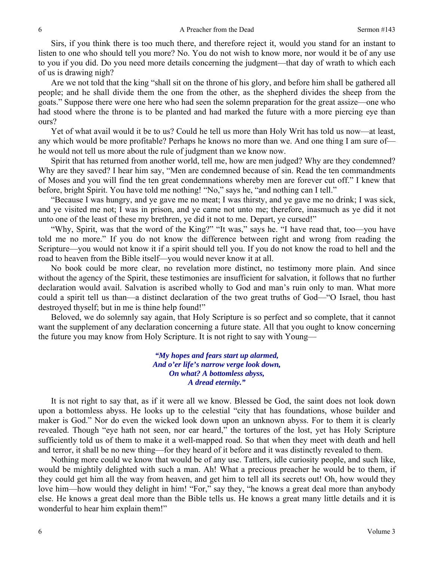Sirs, if you think there is too much there, and therefore reject it, would you stand for an instant to listen to one who should tell you more? No. You do not wish to know more, nor would it be of any use to you if you did. Do you need more details concerning the judgment—that day of wrath to which each of us is drawing nigh?

Are we not told that the king "shall sit on the throne of his glory, and before him shall be gathered all people; and he shall divide them the one from the other, as the shepherd divides the sheep from the goats." Suppose there were one here who had seen the solemn preparation for the great assize—one who had stood where the throne is to be planted and had marked the future with a more piercing eye than ours?

Yet of what avail would it be to us? Could he tell us more than Holy Writ has told us now—at least, any which would be more profitable? Perhaps he knows no more than we. And one thing I am sure of he would not tell us more about the rule of judgment than we know now.

Spirit that has returned from another world, tell me, how are men judged? Why are they condemned? Why are they saved? I hear him say, "Men are condemned because of sin. Read the ten commandments of Moses and you will find the ten great condemnations whereby men are forever cut off." I knew that before, bright Spirit. You have told me nothing! "No," says he, "and nothing can I tell."

"Because I was hungry, and ye gave me no meat; I was thirsty, and ye gave me no drink; I was sick, and ye visited me not; I was in prison, and ye came not unto me; therefore, inasmuch as ye did it not unto one of the least of these my brethren, ye did it not to me. Depart, ye cursed!"

"Why, Spirit, was that the word of the King?" "It was," says he. "I have read that, too—you have told me no more." If you do not know the difference between right and wrong from reading the Scripture—you would not know it if a spirit should tell you. If you do not know the road to hell and the road to heaven from the Bible itself—you would never know it at all.

No book could be more clear, no revelation more distinct, no testimony more plain. And since without the agency of the Spirit, these testimonies are insufficient for salvation, it follows that no further declaration would avail. Salvation is ascribed wholly to God and man's ruin only to man. What more could a spirit tell us than—a distinct declaration of the two great truths of God—"O Israel, thou hast destroyed thyself; but in me is thine help found!"

Beloved, we do solemnly say again, that Holy Scripture is so perfect and so complete, that it cannot want the supplement of any declaration concerning a future state. All that you ought to know concerning the future you may know from Holy Scripture. It is not right to say with Young—

> *"My hopes and fears start up alarmed, And o'er life's narrow verge look down, On what? A bottomless abyss, A dread eternity."*

It is not right to say that, as if it were all we know. Blessed be God, the saint does not look down upon a bottomless abyss. He looks up to the celestial "city that has foundations, whose builder and maker is God." Nor do even the wicked look down upon an unknown abyss. For to them it is clearly revealed. Though "eye hath not seen, nor ear heard," the tortures of the lost, yet has Holy Scripture sufficiently told us of them to make it a well-mapped road. So that when they meet with death and hell and terror, it shall be no new thing—for they heard of it before and it was distinctly revealed to them.

Nothing more could we know that would be of any use. Tattlers, idle curiosity people, and such like, would be mightily delighted with such a man. Ah! What a precious preacher he would be to them, if they could get him all the way from heaven, and get him to tell all its secrets out! Oh, how would they love him—how would they delight in him! "For," say they, "he knows a great deal more than anybody else. He knows a great deal more than the Bible tells us. He knows a great many little details and it is wonderful to hear him explain them!"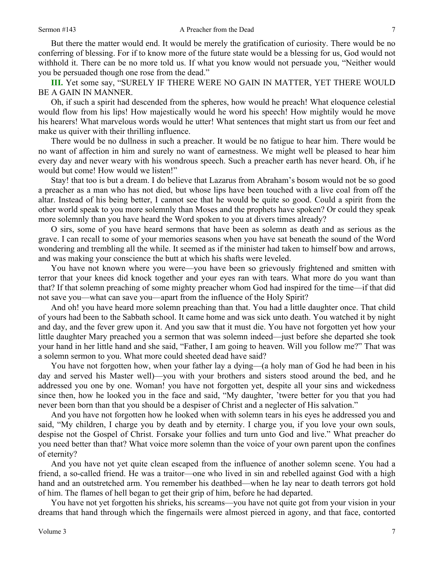But there the matter would end. It would be merely the gratification of curiosity. There would be no conferring of blessing. For if to know more of the future state would be a blessing for us, God would not withhold it. There can be no more told us. If what you know would not persuade you, "Neither would you be persuaded though one rose from the dead."

**III.** Yet some say, "SURELY IF THERE WERE NO GAIN IN MATTER, YET THERE WOULD BE A GAIN IN MANNER.

Oh, if such a spirit had descended from the spheres, how would he preach! What eloquence celestial would flow from his lips! How majestically would he word his speech! How mightily would he move his hearers! What marvelous words would he utter! What sentences that might start us from our feet and make us quiver with their thrilling influence.

There would be no dullness in such a preacher. It would be no fatigue to hear him. There would be no want of affection in him and surely no want of earnestness. We might well be pleased to hear him every day and never weary with his wondrous speech. Such a preacher earth has never heard. Oh, if he would but come! How would we listen!"

Stay! that too is but a dream. I do believe that Lazarus from Abraham's bosom would not be so good a preacher as a man who has not died, but whose lips have been touched with a live coal from off the altar. Instead of his being better, I cannot see that he would be quite so good. Could a spirit from the other world speak to you more solemnly than Moses and the prophets have spoken? Or could they speak more solemnly than you have heard the Word spoken to you at divers times already?

O sirs, some of you have heard sermons that have been as solemn as death and as serious as the grave. I can recall to some of your memories seasons when you have sat beneath the sound of the Word wondering and trembling all the while. It seemed as if the minister had taken to himself bow and arrows, and was making your conscience the butt at which his shafts were leveled.

You have not known where you were—you have been so grievously frightened and smitten with terror that your knees did knock together and your eyes ran with tears. What more do you want than that? If that solemn preaching of some mighty preacher whom God had inspired for the time—if that did not save you—what can save you—apart from the influence of the Holy Spirit?

And oh! you have heard more solemn preaching than that. You had a little daughter once. That child of yours had been to the Sabbath school. It came home and was sick unto death. You watched it by night and day, and the fever grew upon it. And you saw that it must die. You have not forgotten yet how your little daughter Mary preached you a sermon that was solemn indeed—just before she departed she took your hand in her little hand and she said, "Father, I am going to heaven. Will you follow me?" That was a solemn sermon to you. What more could sheeted dead have said?

You have not forgotten how, when your father lay a dying—(a holy man of God he had been in his day and served his Master well)—you with your brothers and sisters stood around the bed, and he addressed you one by one. Woman! you have not forgotten yet, despite all your sins and wickedness since then, how he looked you in the face and said, "My daughter, 'twere better for you that you had never been born than that you should be a despiser of Christ and a neglecter of His salvation."

And you have not forgotten how he looked when with solemn tears in his eyes he addressed you and said, "My children, I charge you by death and by eternity. I charge you, if you love your own souls, despise not the Gospel of Christ. Forsake your follies and turn unto God and live." What preacher do you need better than that? What voice more solemn than the voice of your own parent upon the confines of eternity?

And you have not yet quite clean escaped from the influence of another solemn scene. You had a friend, a so-called friend. He was a traitor—one who lived in sin and rebelled against God with a high hand and an outstretched arm. You remember his deathbed—when he lay near to death terrors got hold of him. The flames of hell began to get their grip of him, before he had departed.

You have not yet forgotten his shrieks, his screams—you have not quite got from your vision in your dreams that hand through which the fingernails were almost pierced in agony, and that face, contorted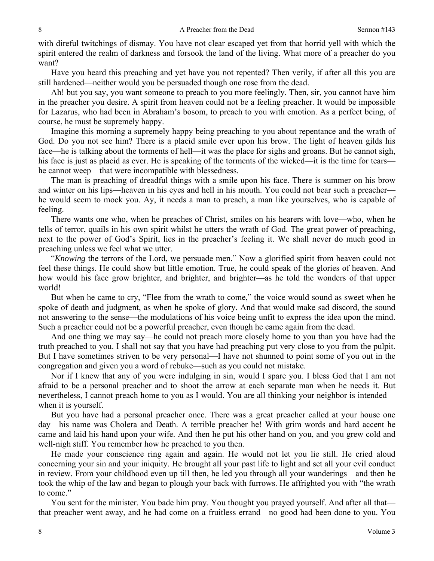with direful twitchings of dismay. You have not clear escaped yet from that horrid yell with which the spirit entered the realm of darkness and forsook the land of the living. What more of a preacher do you want?

Have you heard this preaching and yet have you not repented? Then verily, if after all this you are still hardened—neither would you be persuaded though one rose from the dead.

Ah! but you say, you want someone to preach to you more feelingly. Then, sir, you cannot have him in the preacher you desire. A spirit from heaven could not be a feeling preacher. It would be impossible for Lazarus, who had been in Abraham's bosom, to preach to you with emotion. As a perfect being, of course, he must be supremely happy.

Imagine this morning a supremely happy being preaching to you about repentance and the wrath of God. Do you not see him? There is a placid smile ever upon his brow. The light of heaven gilds his face—he is talking about the torments of hell—it was the place for sighs and groans. But he cannot sigh, his face is just as placid as ever. He is speaking of the torments of the wicked—it is the time for tears he cannot weep—that were incompatible with blessedness.

The man is preaching of dreadful things with a smile upon his face. There is summer on his brow and winter on his lips—heaven in his eyes and hell in his mouth. You could not bear such a preacher he would seem to mock you. Ay, it needs a man to preach, a man like yourselves, who is capable of feeling.

There wants one who, when he preaches of Christ, smiles on his hearers with love—who, when he tells of terror, quails in his own spirit whilst he utters the wrath of God. The great power of preaching, next to the power of God's Spirit, lies in the preacher's feeling it. We shall never do much good in preaching unless we feel what we utter.

"*Knowing* the terrors of the Lord, we persuade men." Now a glorified spirit from heaven could not feel these things. He could show but little emotion. True, he could speak of the glories of heaven. And how would his face grow brighter, and brighter, and brighter—as he told the wonders of that upper world!

But when he came to cry, "Flee from the wrath to come," the voice would sound as sweet when he spoke of death and judgment, as when he spoke of glory. And that would make sad discord, the sound not answering to the sense—the modulations of his voice being unfit to express the idea upon the mind. Such a preacher could not be a powerful preacher, even though he came again from the dead.

And one thing we may say—he could not preach more closely home to you than you have had the truth preached to you. I shall not say that you have had preaching put very close to you from the pulpit. But I have sometimes striven to be very personal—I have not shunned to point some of you out in the congregation and given you a word of rebuke—such as you could not mistake.

Nor if I knew that any of you were indulging in sin, would I spare you. I bless God that I am not afraid to be a personal preacher and to shoot the arrow at each separate man when he needs it. But nevertheless, I cannot preach home to you as I would. You are all thinking your neighbor is intended when it is yourself.

But you have had a personal preacher once. There was a great preacher called at your house one day—his name was Cholera and Death. A terrible preacher he! With grim words and hard accent he came and laid his hand upon your wife. And then he put his other hand on you, and you grew cold and well-nigh stiff. You remember how he preached to you then.

He made your conscience ring again and again. He would not let you lie still. He cried aloud concerning your sin and your iniquity. He brought all your past life to light and set all your evil conduct in review. From your childhood even up till then, he led you through all your wanderings—and then he took the whip of the law and began to plough your back with furrows. He affrighted you with "the wrath to come."

You sent for the minister. You bade him pray. You thought you prayed yourself. And after all that that preacher went away, and he had come on a fruitless errand—no good had been done to you. You

8